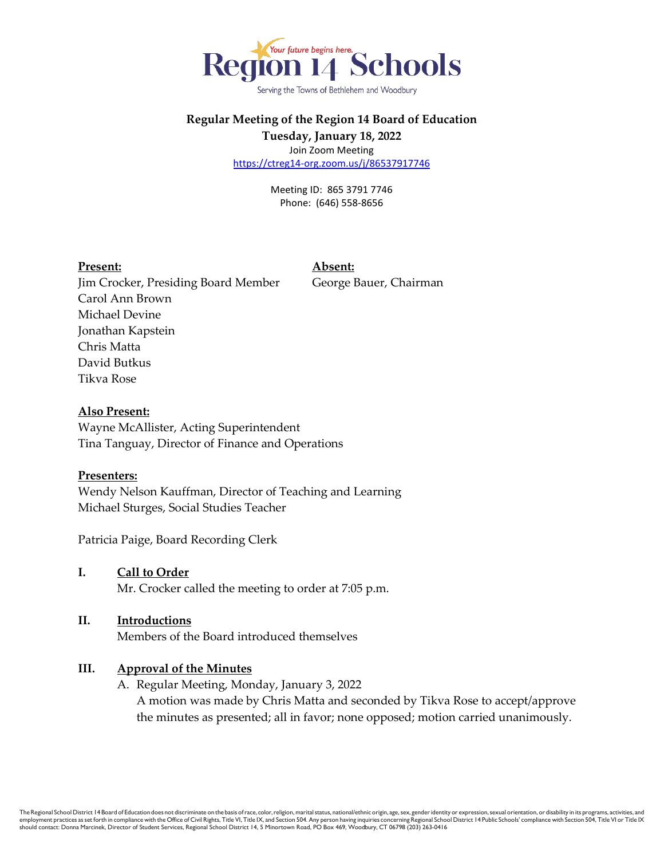

Serving the Towns of Bethlehem and Woodbury

## **Regular Meeting of the Region 14 Board of Education Tuesday, January 18, 2022**

Join Zoom Meeting <https://ctreg14-org.zoom.us/j/86537917746>

> Meeting ID: 865 3791 7746 Phone: (646) 558-8656

#### **Present: Absent:**

Jim Crocker, Presiding Board Member George Bauer, Chairman Carol Ann Brown Michael Devine Jonathan Kapstein Chris Matta David Butkus Tikva Rose

#### **Also Present:**

Wayne McAllister, Acting Superintendent Tina Tanguay, Director of Finance and Operations

#### **Presenters:**

Wendy Nelson Kauffman, Director of Teaching and Learning Michael Sturges, Social Studies Teacher

Patricia Paige, Board Recording Clerk

- **I. Call to Order** Mr. Crocker called the meeting to order at 7:05 p.m.
- **II. Introductions** Members of the Board introduced themselves

#### **III. Approval of the Minutes**

A. Regular Meeting, Monday, January 3, 2022 A motion was made by Chris Matta and seconded by Tikva Rose to accept/approve the minutes as presented; all in favor; none opposed; motion carried unanimously.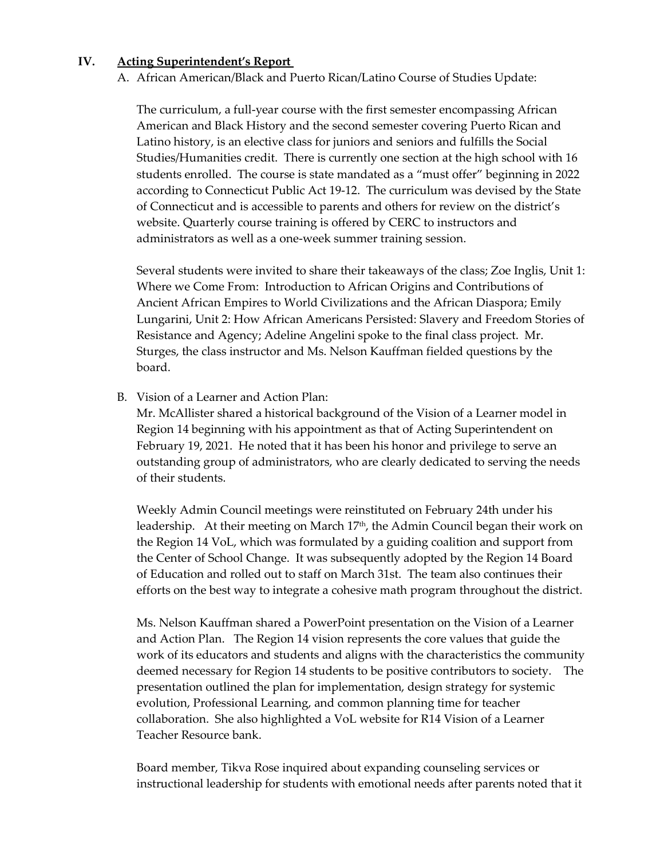#### **IV. Acting Superintendent's Report**

A. African American/Black and Puerto Rican/Latino Course of Studies Update:

The curriculum, a full-year course with the first semester encompassing African American and Black History and the second semester covering Puerto Rican and Latino history, is an elective class for juniors and seniors and fulfills the Social Studies/Humanities credit. There is currently one section at the high school with 16 students enrolled. The course is state mandated as a "must offer" beginning in 2022 according to Connecticut Public Act 19-12. The curriculum was devised by the State of Connecticut and is accessible to parents and others for review on the district's website. Quarterly course training is offered by CERC to instructors and administrators as well as a one-week summer training session.

Several students were invited to share their takeaways of the class; Zoe Inglis, Unit 1: Where we Come From: Introduction to African Origins and Contributions of Ancient African Empires to World Civilizations and the African Diaspora; Emily Lungarini, Unit 2: How African Americans Persisted: Slavery and Freedom Stories of Resistance and Agency; Adeline Angelini spoke to the final class project. Mr. Sturges, the class instructor and Ms. Nelson Kauffman fielded questions by the board.

B. Vision of a Learner and Action Plan:

Mr. McAllister shared a historical background of the Vision of a Learner model in Region 14 beginning with his appointment as that of Acting Superintendent on February 19, 2021. He noted that it has been his honor and privilege to serve an outstanding group of administrators, who are clearly dedicated to serving the needs of their students.

Weekly Admin Council meetings were reinstituted on February 24th under his leadership. At their meeting on March 17<sup>th</sup>, the Admin Council began their work on the Region 14 VoL, which was formulated by a guiding coalition and support from the Center of School Change. It was subsequently adopted by the Region 14 Board of Education and rolled out to staff on March 31st. The team also continues their efforts on the best way to integrate a cohesive math program throughout the district.

Ms. Nelson Kauffman shared a PowerPoint presentation on the Vision of a Learner and Action Plan. The Region 14 vision represents the core values that guide the work of its educators and students and aligns with the characteristics the community deemed necessary for Region 14 students to be positive contributors to society. The presentation outlined the plan for implementation, design strategy for systemic evolution, Professional Learning, and common planning time for teacher collaboration. She also highlighted a VoL website for R14 Vision of a Learner Teacher Resource bank.

Board member, Tikva Rose inquired about expanding counseling services or instructional leadership for students with emotional needs after parents noted that it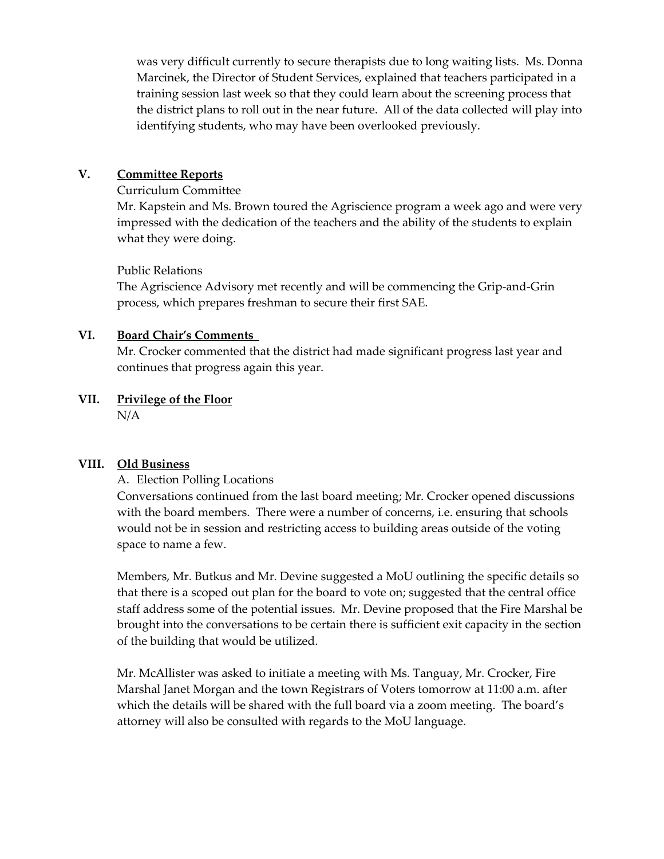was very difficult currently to secure therapists due to long waiting lists. Ms. Donna Marcinek, the Director of Student Services, explained that teachers participated in a training session last week so that they could learn about the screening process that the district plans to roll out in the near future. All of the data collected will play into identifying students, who may have been overlooked previously.

## **V. Committee Reports**

#### Curriculum Committee

Mr. Kapstein and Ms. Brown toured the Agriscience program a week ago and were very impressed with the dedication of the teachers and the ability of the students to explain what they were doing.

## Public Relations

The Agriscience Advisory met recently and will be commencing the Grip-and-Grin process, which prepares freshman to secure their first SAE.

## **VI. Board Chair's Comments**

Mr. Crocker commented that the district had made significant progress last year and continues that progress again this year.

# **VII. Privilege of the Floor**

N/A

## **VIII. Old Business**

## A. Election Polling Locations

Conversations continued from the last board meeting; Mr. Crocker opened discussions with the board members. There were a number of concerns, i.e. ensuring that schools would not be in session and restricting access to building areas outside of the voting space to name a few.

Members, Mr. Butkus and Mr. Devine suggested a MoU outlining the specific details so that there is a scoped out plan for the board to vote on; suggested that the central office staff address some of the potential issues. Mr. Devine proposed that the Fire Marshal be brought into the conversations to be certain there is sufficient exit capacity in the section of the building that would be utilized.

Mr. McAllister was asked to initiate a meeting with Ms. Tanguay, Mr. Crocker, Fire Marshal Janet Morgan and the town Registrars of Voters tomorrow at 11:00 a.m. after which the details will be shared with the full board via a zoom meeting. The board's attorney will also be consulted with regards to the MoU language.